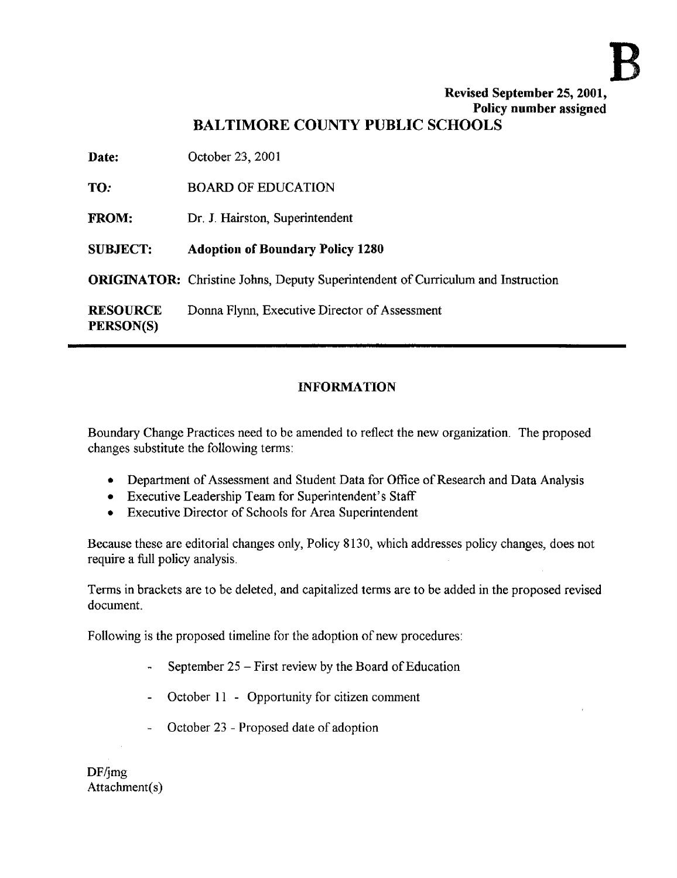# Revised September 25, 2001, Policy number assigned

# BALTIMORE COUNTY PUBLIC SCHOOLS

Date: October 23, 2001 TO: BOARD OF EDUCATION FROM: Dr. J. Hairston, Superintendent SUBJECT: Adoption of Boundary Policy 1280 ORIGINATOR: Christine Johns, Deputy Superintendent of Curriculum and Instruction RESOURCE Donna Flynn, Executive Director of Assessment PERSON(S)

## INFORMATION

Boundary Change Practices need to be amended to reflect the new organization . The proposed changes substitute the following terms:

- Department of Assessment and Student Data for Office of Research and Data Analysis
- Executive Leadership Team for Superintendent's Staff
- Executive Director of Schools for Area Superintendent

Because these are editorial changes only, Policy 8130, which addresses policy changes, does not require a full policy analysis.

Terms in brackets are to be deleted, and capitalized terms are to be added in the proposed revised document.

Following is the proposed timeline for the adoption of new procedures:

- September  $25 -$  First review by the Board of Education
- October 11 Opportunity for citizen comment
- October 23 Proposed date of adoption

DF/jmg Attachment(s)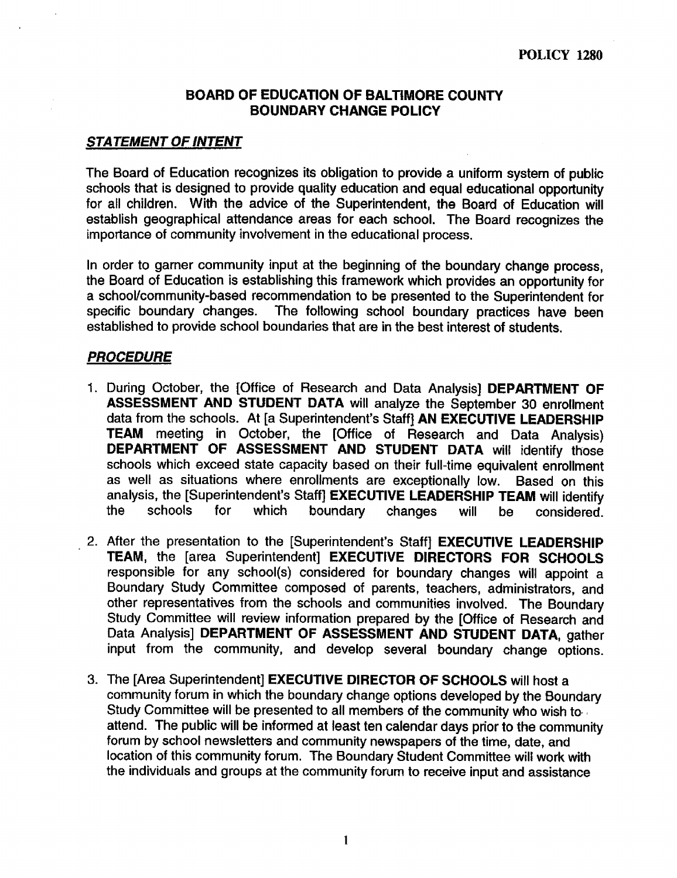#### BOARD OF EDUCATION OF BALTIMORE COUNTY BOUNDARY CHANGE POLICY

#### **STATEMENT OF INTENT**

The Board of Education recognizes its obligation to provide a uniform system of public schools that is designed to provide quality education and equal educational opportunity for all children. With the advice of the Superintendent, the Board of Education will establish geographical attendance areas for each school. The Board recognizes the importance of community involvement in the educational process .

In order to garner community input at the beginning of the boundary change process, the Board of Education is establishing this framework which provides an opportunity for a school/community-based recommendation to be presented to the Superintendent for specific boundary changes. The following school boundary practices have been The following school boundary practices have been established to provide school boundaries that are in the best interest of students.

#### **PROCEDURE**

- 1. During October, the [Office of Research and Data Analysis] DEPARTMENT OF ASSESSMENT AND STUDENT DATA will analyze the September 30 enrollment data from the schools. At [a Superintendent's Staff] AN EXECUTIVE LEADERSHIP TEAM meeting in October, the [Office of Research and Data Analysis) DEPARTMENT OF ASSESSMENT AND STUDENT DATA will identify those schools which exceed state capacity based on their full-time equivalent enrollment as well as situations where enrollments are exceptionally low. Based on this as well as situations where enrollments are exceptionally low. analysis, the [Superintendent's Staff] **EXECUTIVE LEADERSHIP TEAM** will identify<br>the schools for which boundary changes will be considered. the schools for which boundary changes will be considered.
- 2. After the presentation to the [Superintendent's Staff] EXECUTIVE LEADERSHIP TEAM, the [area Superintendent] EXECUTIVE DIRECTORS FOR SCHOOLS responsible for any school(s) considered for boundary changes will appoint a Boundary Study Committee composed of parents, teachers, administrators, and other representatives from the schools and communities involved. The Boundary Study Committee will review information prepared by the [Office of Research and Data Analysis] DEPARTMENT OF ASSESSMENT AND STUDENT DATA, gather input from the community, and develop several boundary change options.
- 3. The [Area Superintendent] EXECUTIVE DIRECTOR OF SCHOOLS will host a community forum in which the boundary change options developed by the Boundary Study Committee will be presented to all members of the community who wish to attend. The public will be informed at least ten calendar days prior to the community forum by school newsletters and community newspapers of the time, date, and location of this community forum. The Boundary Student Committee will work with the individuals and groups at the community forum to receive input and assistance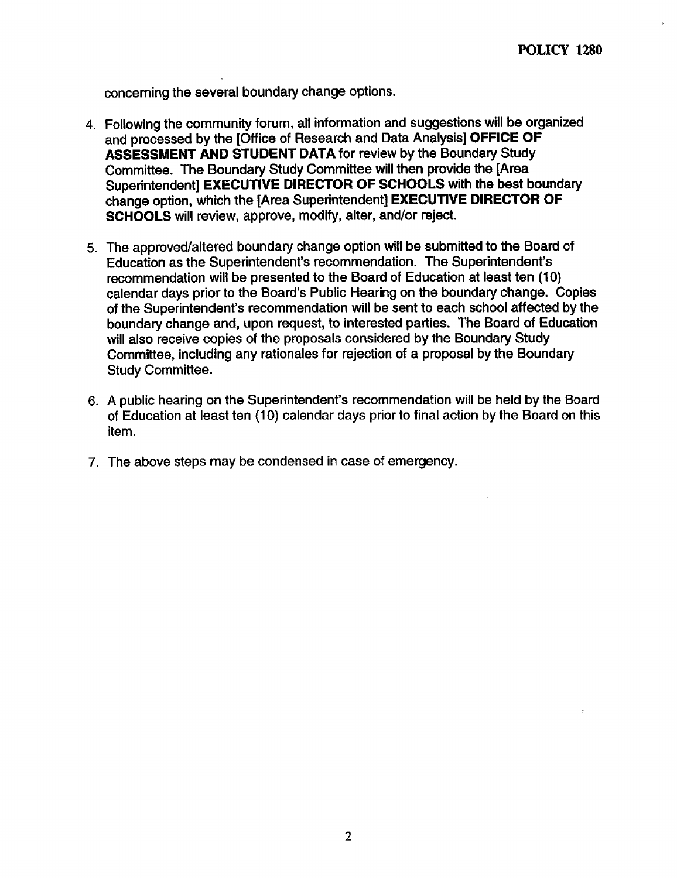concerning the several boundary change options.

- 4. Following the community forum, all information and suggestions will be organized and processed by the [Office of Research and Data Analysis] OFFICE OF ASSESSMENT AND STUDENT DATA for review by the Boundary Study Committee. The Boundary Study Committee will then provide the [Area Superintendent] EXECUTIVE DIRECTOR OF SCHOOLS with the best boundary change option, which the [Area Superintendent] EXECUTIVE DIRECTOR OF SCHOOLS will review, approve, modify, alter, and/or reject.
- 5. The approved/altered boundary change option will be submitted to the Board of Education as the Superintendent's recommendation . The Superintendent's recommendation will be presented to the Board of Education at least ten (10) calendar days prior to the Board's Public Hearing on the boundary change. Copies of the Superintendent's recommendation will be sent to each school affected by the boundary change and, upon request, to interested parties . The Board of Education will also receive copies of the proposals considered by the Boundary Study Committee, including any rationales for rejection of a proposal by the Boundary Study Committee.
- 6. A public hearing on the Superintendent's recommendation will be held by the Board of Education at least ten (10) calendar days prior to final action by the Board on this item.
- 7 . The above steps may be condensed in case of emergency.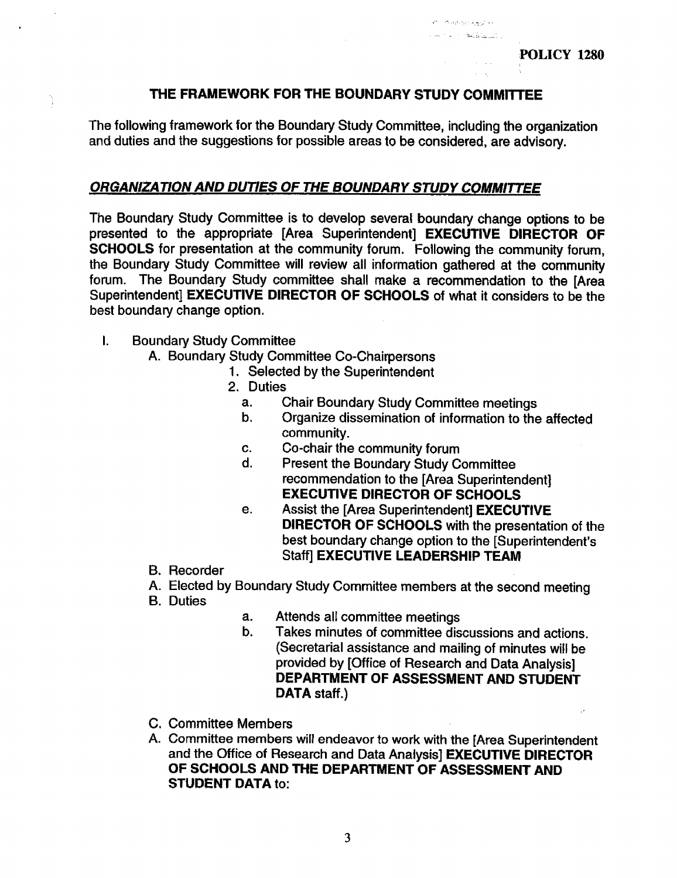**Processing Seat 1** were reading in the

### THE FRAMEWORK FOR THE BOUNDARY STUDY COMMITTEE

The following framework for the Boundary Study Committee, including the organization and duties and the suggestions for possible areas to be considered, are advisory.

#### ORGANIZATION AND DUTIES OF THE BOUNDARYSTUDY COMMITTEE

The Boundary Study Committee is to develop several boundary change options to be presented to the appropriate [Area Superintendent] EXECUTIVE DIRECTOR OF SCHOOLS for presentation at the community forum. Following the community forum, the Boundary Study Committee will review all information gathered at the community forum. The Boundary Study committee shall make a recommendation to the [Area Superintendent] EXECUTIVE DIRECTOR OF SCHOOLS of what it considers to be the best boundary change option.

I. Boundary Study Committee

Ì

- A. Boundary Study Committee Co-Chairpersons
	- 1. Selected by the Superintendent
	- 2. Duties<br>a. C
		- a. Chair Boundary Study Committee meetings<br>b. Croanize dissemination of information to the
		- b. Organize dissemination of information to the affected community.
		- c. Co-chair the community forum<br>d. Present the Boundary Study Co
		- Present the Boundary Study Committee recommendation to the [Area Superintendent] EXECUTIVE DIRECTOR OF SCHOOLS
		- e. Assist the [Area Superintendent] EXECUTIVE DIRECTOR OF SCHOOLS with the presentation of the best boundary change option to the [Superintendent's Staff] EXECUTIVE LEADERSHIP TEAM
- B. Recorder
- A. Elected by Boundary Study Committee members at the second meeting
- **B.** Duties
- a. Attends all committee meetings<br>b. Takes minutes of committee dis
- Takes minutes of committee discussions and actions. (Secretarial assistance and mailing of minutes will be provided by [Office of Research and Data Analysis] DEPARTMENT OF ASSESSMENT AND STUDENT DATA staff.)
- C. Committee Members
- A. Committee members will endeavor to work with the [Area Superintendent and the Office of Research and Data Analysis] EXECUTIVE DIRECTOR OF SCHOOLS AND THE DEPARTMENT OF ASSESSMENT AND STUDENT DATA to: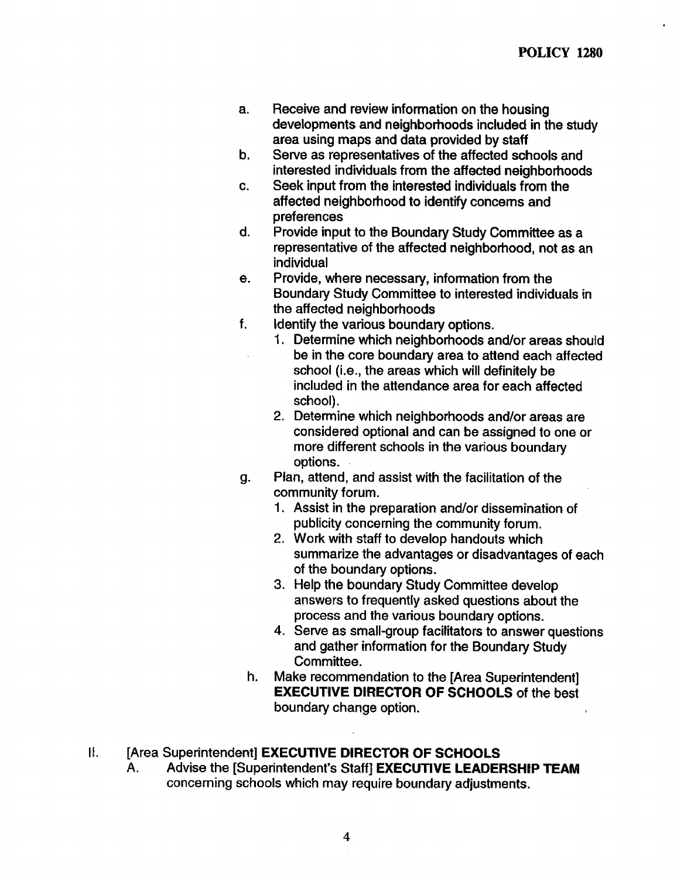- a. Receive and review information on the housing developments and neighborhoods included in the study area using maps and data provided by staff
- b. Serve as representatives of the affected schools and interested individuals from the affected neighborhoods
- c. Seek input from the interested individuals from the affected neighborhood to identify concerns and preferences
- d. Provide input to the Boundary Study Committee as a representative of the affected neighborhood, not as an individual
- e. Provide, where necessary, information from the Boundary Study Committee to interested individuals in the affected neighborhoods
- f. Identify the various boundary options.
	- <sup>1</sup> . Determine which neighborhoods and/or areas should be in the core boundary area to attend each affected school (i.e., the areas which will definitely be included in the attendance area for each affected school).
	- 2. Determine which neighborhoods and/or areas are considered optional and can be assigned to one or more different schools in the various boundary options .
- g. Plan, attend, and assist with the facilitation of the community forum.
	- <sup>1</sup> . Assist in the preparation and/or dissemination of publicity concerning the community forum.
	- 2. Work with staff to develop handouts which summarize the advantages or disadvantages of each of the boundary options.
	- 3. Help the boundary Study Committee develop answers to frequently asked questions about the process and the various boundary options.
	- 4. Serve as small-group facilitators to answer questions and gather information for the Boundary Study Committee .
	- h. Make recommendation to the [Area Superintendent] EXECUTIVE DIRECTOR OF SCHOOLS of the best boundary change option.

# II. [Area Superintendent] **EXECUTIVE DIRECTOR OF SCHOOLS**<br>A. Advise the ISuperintendent's Staff! **EXECUTIVE LEADFF**

Advise the [Superintendent's Staff] EXECUTIVE LEADERSHIP TEAM concerning schools which may require boundary adjustments .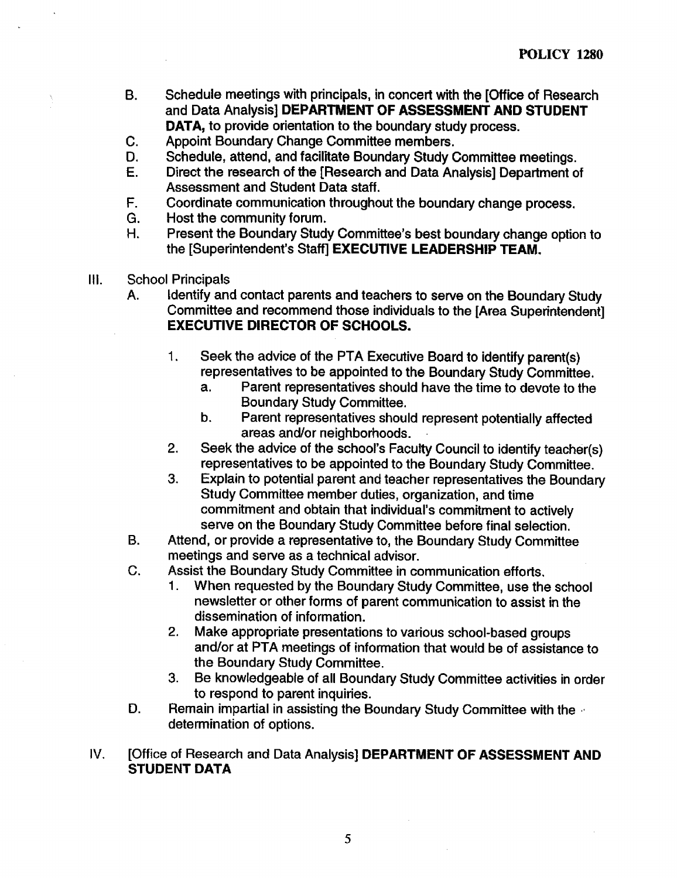- B. Schedule meetings with principals, in concert with the [Office of Research and Data Analysis] DEPARTMENT OF ASSESSMENT AND STUDENT DATA, to provide orientation to the boundary study process.
- 
- C. Appoint Boundary Change Committee members.<br>D. Schedule, attend, and facilitate Boundary Study (
- D. Schedule, attend, and facilitate Boundary Study Committee meetings.<br>E. Direct the research of the [Research and Data Analysis] Department of Direct the research of the [Research and Data Analysis] Department of Assessment and Student Data staff.
- F. Coordinate communication throughout the boundary change process.<br>G. Host the community forum.
- G. Host the community forum.<br>H. Present the Boundary Stud
- Present the Boundary Study Committee's best boundary change option to the [Superintendent's Staff] EXECUTIVE LEADERSHIP TEAM.
- III. School Principals
	- A. Identify and contact parents and teachers to serve on the Boundary Study Committee and recommend those individuals to the [Area Superintendent] EXECUTIVE DIRECTOR OF SCHOOLS.
		- <sup>1</sup> . Seek the advice of the PTA Executive Board to identify parent(s) representatives to be appointed to the Boundary Study Committee.<br>a. Parent representatives should have the time to devote to the
			- Parent representatives should have the time to devote to the Boundary Study Committee.
			- b. Parent representatives should represent potentially affected areas and/or neighborhoods.
		- 2. Seek the advice of the school's Faculty Council to identify teacher(s) representatives to be appointed to the Boundary Study Committee.
		- 3. Explain to potential parent and teacher representatives the Boundary Study Committee member duties, organization, and time commitment and obtain that individual's commitment to actively serve on the Boundary Study Committee before final selection.
	- B. Attend, or provide a representative to, the Boundary Study Committee meetings and serve as a technical advisor.
	- C. Assist the Boundary Study Committee in communication efforts.<br>1. When requested by the Boundary Study Committee, use the
		- When requested by the Boundary Study Committee, use the school newsletter or other forms of parent communication to assist in the dissemination of information.
		- 2 . Make appropriate presentations to various school-based groups and/or at PTA meetings of information that would be of assistance to the Boundary Study Committee .
		- 3 . Be knowledgeable of all Boundary Study Committee activities in order to respond to parent inquiries .
	- D. Remain impartial in assisting the Boundary Study Committee with the determination of options.
- IV. [Office of Research and Data Analysis] DEPARTMENT OF ASSESSMENT AND STUDENT DATA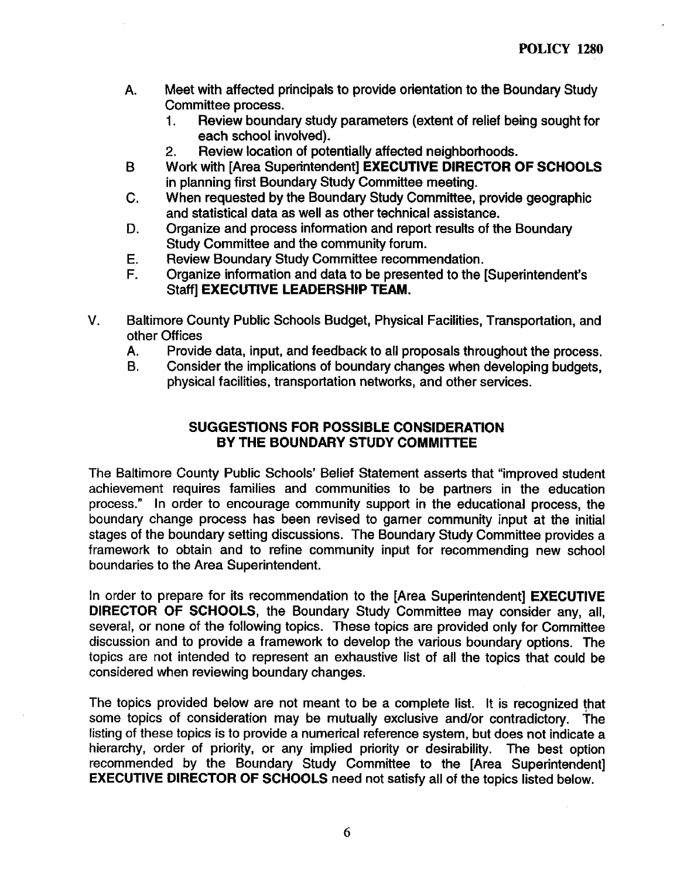- A. Meet with affected principals to provide orientation to the Boundary Study Committee process.<br>1. **Review bounda** 
	- Review boundary study parameters (extent of relief being sought for each school involved).
	- 2. Review location of potentially affected neighborhoods.
- B Work with [Area Superintendent] EXECUTIVE DIRECTOR OF SCHOOLS in planning first Boundary Study Committee meeting.
- C. When requested by the Boundary Study Committee, provide geographic and statistical data as well as other technical assistance.
- D. Organize and process information and report results of the Boundary Study Committee and the community forum.
- E. Review Boundary Study Committee recommendation.<br>F. Crganize information and data to be presented to the I
- Organize information and data to be presented to the [Superintendent's Staff] EXECUTIVE LEADERSHIP TEAM.
- V. Baltimore County Public Schools Budget, Physical Facilities, Transportation, and other Offices<br>A. Provid
	- A. Provide data, input, and feedback to all proposals throughout the process.<br>B. Consider the implications of boundary changes when developing budgets.
	- Consider the implications of boundary changes when developing budgets, physical facilities, transportation networks, and other services.

#### SUGGESTIONS FOR POSSIBLE CONSIDERATION BY THE BOUNDARY STUDY COMMITTEE

The Baltimore County Public Schools' Belief Statement asserts that "improved student achievement requires families and communities to be partners in the education process." In order to encourage community support in the educational process, the boundary change process has been revised to gamer community input at the initial stages of the boundary setting discussions. The Boundary Study Committee provides a framework to obtain and to refine community input for recommending new school boundaries to the Area Superintendent.

In order to prepare for its recommendation to the [Area Superintendent] **EXECUTIVE** DIRECTOR OF SCHOOLS, the Boundary Study Committee may consider any, all, several, or none of the following topics. These topics are provided only for Committee discussion and to provide a framework to develop the various boundary options. The topics are not intended to represent an exhaustive list of all the topics that could be considered when reviewing boundary changes.

The topics provided below are not meant to be a complete list. It is recognized that some topics of consideration may be mutually exclusive and/or contradictory. The listing of these topics is to provide a numerical reference system, but does not indicate a hierarchy, order of priority, or any implied priority or desirability. The best option recommended by the Boundary Study Committee to the [Area Superintendent] EXECUTIVE DIRECTOR OF SCHOOLS need not satisfy all of the topics listed below.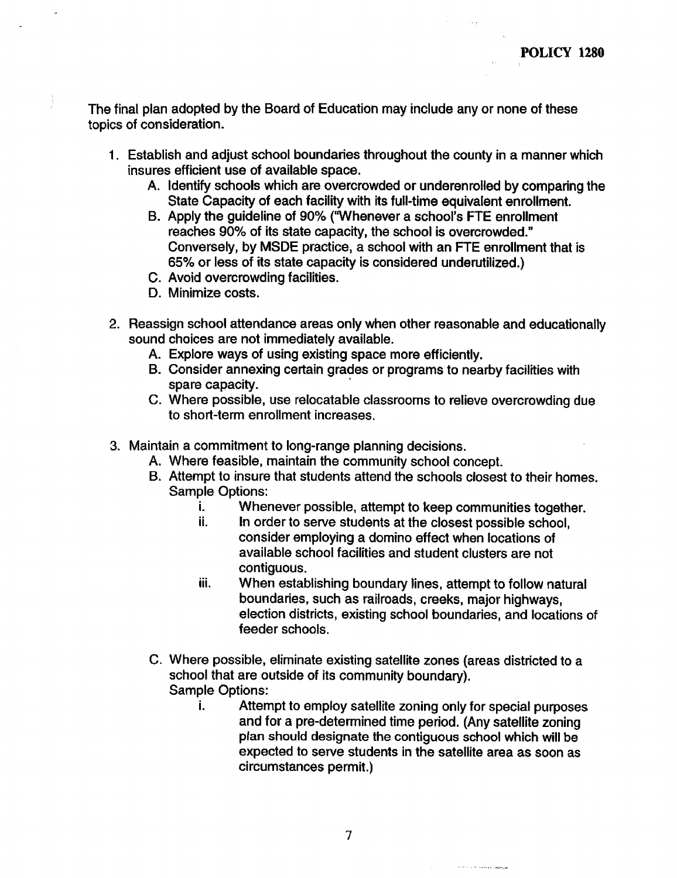The final plan adopted by the Board of Education may include any or none of these topics of consideration.

- <sup>1</sup> . Establish and adjust school boundaries throughout the county in a manner which insures efficient use of available space.
	- A. Identify schools which are overcrowded or underenrolled by comparing the State Capacity of each facility with its full-time equivalent enrollment.
	- B. Apply the guideline of 90% ("Whenever a school's FTE enrollment reaches 90% of its state capacity, the school is overcrowded." Conversely, by MSDE practice, a school with an FTE enrollment that is 65% or less of its state capacity is considered underutilized .)
	- C. Avoid overcrowding facilities.
	- D. Minimize costs.
- 2. Reassign school attendance areas only when other reasonable and educationally sound choices are not immediately available.
	- A. Explore ways of using existing space more efficiently.
	- B. Consider annexing certain grades or programs to nearby facilities with spare capacity.
	- C. Where possible, use relocatable classrooms to relieve overcrowding due to short-term enrollment increases .
- 3. Maintain a commitment to long-range planning decisions .
	- A. Where feasible, maintain the community school concept.
	- B. Attempt to insure that students attend the schools closest to their homes. Sample Options:<br>i. When
		- i. Whenever possible, attempt to keep communities together.<br>ii. In order to serve students at the closest possible school
		- In order to serve students at the closest possible school, consider employing a domino effect when locations of available school facilities and student clusters are not contiguous.
		- iii. When establishing boundary lines, attempt to follow natural boundaries, such as railroads, creeks, major highways, election districts, existing school boundaries, and locations of feeder schools.
	- C . Where possible, eliminate existing satellite zones (areas districted to <sup>a</sup> school that are outside of its community boundary). Sample Options:
		- i. Attempt to employ satellite zoning only for special purposes and for a pre-determined time period. (Any satellite zoning plan should designate the contiguous school which will be expected to serve students in the satellite area as soon as circumstances permit.)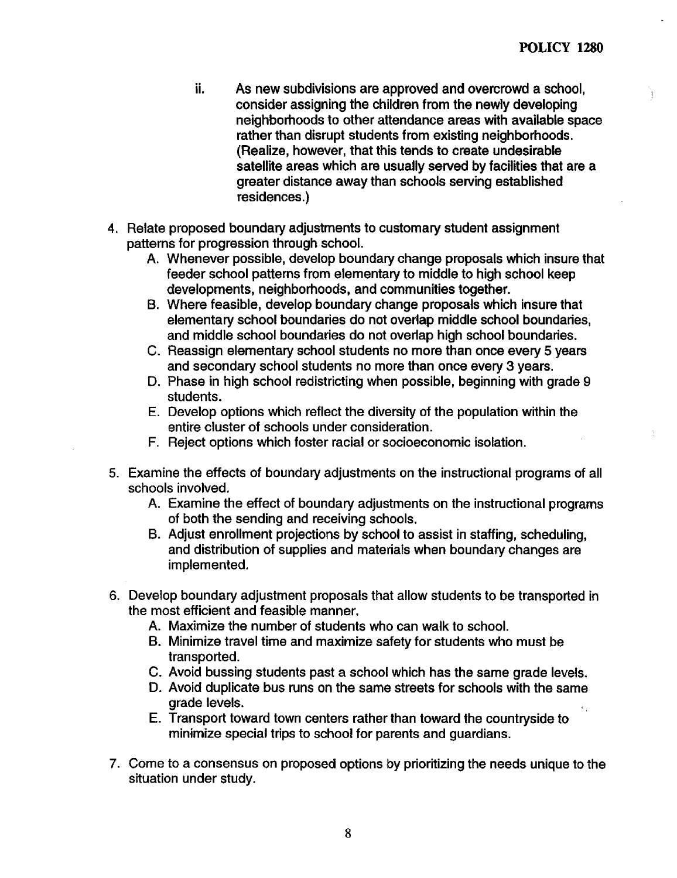- ii. As new subdivisions are approved and overcrowd a school, consider assigning the children from the newly developing neighborhoods to other attendance areas with available space rather than disrupt students from existing neighborhoods. (Realize, however, that this tends to create undesirable satellite areas which are usually served by facilities that are a greater distance away than schools serving established residences.)
- 4. Relate proposed boundary adjustments to customary student assignment patterns for progression through school.
	- A. Whenever possible, develop boundary change proposals which insure that feeder school patterns from elementary to middle to high school keep developments, neighborhoods, and communities together.
	- B. Where feasible, develop boundary change proposals which insure that elementary school boundaries do not overlap middle school boundaries, and middle school boundaries do not overlap high school boundaries.
	- C. Reassign elementary school students no more than once every 5 years and secondary school students no more than once every 3 years.
	- D. Phase in high school redistricting when possible, beginning with grade 9 students.
	- E. Develop options which reflect the diversity of the population within the entire cluster of schools under consideration .
	- F. Reject options which foster racial or socioeconomic isolation .
- 5. Examine the effects of boundary adjustments on the instructional programs of all schools involved.
	- A. Examine the effect of boundary adjustments on the instructional programs of both the sending and receiving schools.
	- B. Adjust enrollment projections by school to assist in staffing, scheduling, and distribution of supplies and materials when boundary changes are implemented.
- 6. Develop boundary adjustment proposals that allow students to be transported in the most efficient and feasible manner.
	- A. Maximize the number of students who can walk to school.
	- B. Minimize travel time and maximize safety for students who must be transported.
	- C. Avoid bussing students past a school which has the same grade levels.
	- D. Avoid duplicate bus runs on the same streets for schools with the same grade levels.
	- E. Transport toward town centers rather than toward the countryside to minimize special trips to school for parents and guardians.
- 7 . Come to a consensus on proposed options by prioritizing the needs unique to the situation under study.